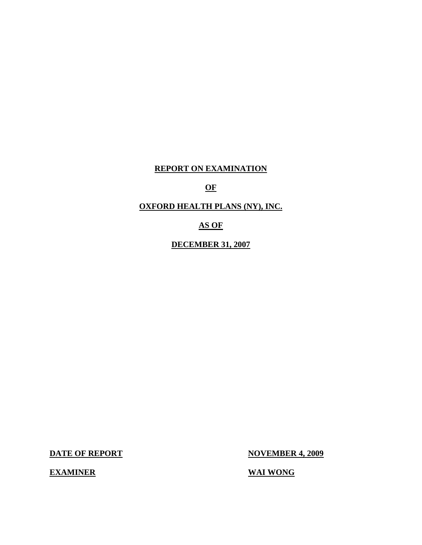## **REPORT ON EXAMINATION**

## **OF**

## **OXFORD HEALTH PLANS (NY), INC.**

## **AS OF**

**DECEMBER 31, 2007** 

**DATE OF REPORT NOVEMBER 4, 2009** 

**EXAMINER** WAI WONG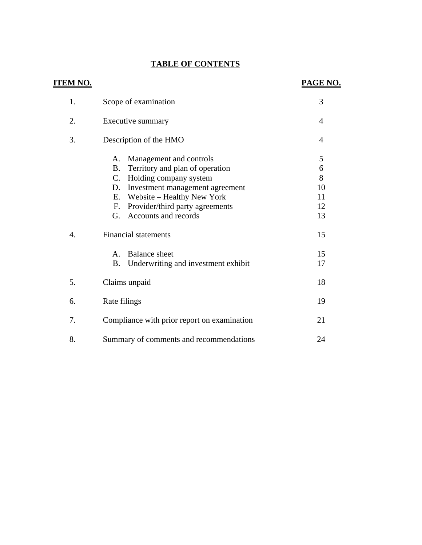## **TABLE OF CONTENTS**

|                  | <b>TABLE OF CONTENTS</b>                                      |                |
|------------------|---------------------------------------------------------------|----------------|
| <u>TEM NO.</u>   |                                                               | PAGE NO.       |
| 1.               | Scope of examination                                          | 3              |
| 2.               | Executive summary                                             | $\overline{4}$ |
| 3.               | Description of the HMO                                        | $\overline{4}$ |
|                  | Management and controls<br>А.                                 | 5              |
|                  | Territory and plan of operation<br><b>B.</b>                  | 6              |
|                  | Holding company system<br>$\mathbf{C}$ .                      | 8              |
|                  | Investment management agreement<br>D.                         | 10             |
|                  | Website – Healthy New York<br>Ε.<br>F.                        | 11<br>12       |
|                  | Provider/third party agreements<br>Accounts and records<br>G. | 13             |
| $\overline{4}$ . | <b>Financial statements</b>                                   | 15             |
|                  | <b>Balance</b> sheet<br>А.                                    | 15             |
|                  | Underwriting and investment exhibit<br><b>B.</b>              | 17             |
| 5.               | Claims unpaid                                                 | 18             |
| 6.               | Rate filings                                                  | 19             |
| 7.               | Compliance with prior report on examination                   | 21             |
| 8.               | Summary of comments and recommendations                       | 24             |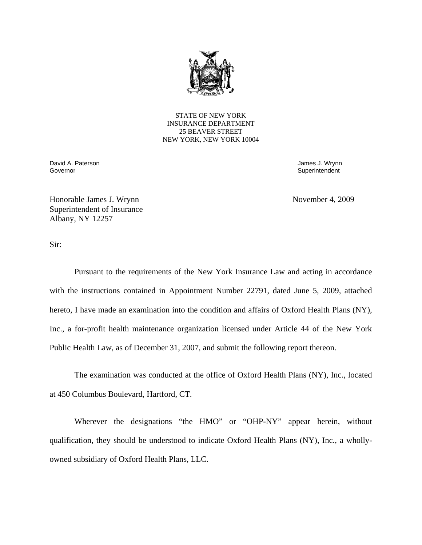

STATE OF NEW YORK INSURANCE DEPARTMENT 25 BEAVER STREET NEW YORK, NEW YORK 10004

Governor David A. Paterson James J. Wrynn

Superintendent

Honorable James J. Wrynn November 4, 2009 Superintendent of Insurance Albany, NY 12257

Sir:

Pursuant to the requirements of the New York Insurance Law and acting in accordance with the instructions contained in Appointment Number 22791, dated June 5, 2009, attached hereto, I have made an examination into the condition and affairs of Oxford Health Plans (NY), Inc., a for-profit health maintenance organization licensed under Article 44 of the New York Public Health Law, as of December 31, 2007, and submit the following report thereon.

The examination was conducted at the office of Oxford Health Plans (NY), Inc., located at 450 Columbus Boulevard, Hartford, CT.

Wherever the designations "the HMO" or "OHP-NY" appear herein, without qualification, they should be understood to indicate Oxford Health Plans (NY), Inc., a whollyowned subsidiary of Oxford Health Plans, LLC.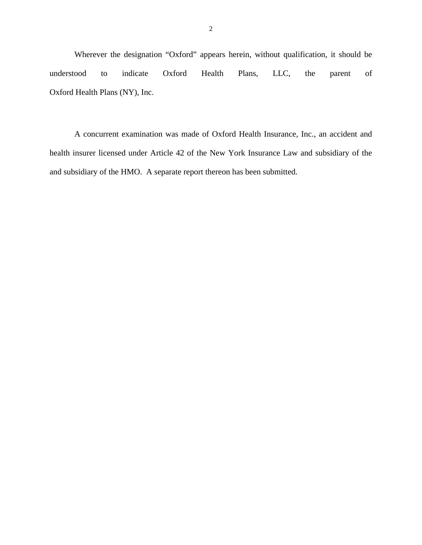Wherever the designation "Oxford" appears herein, without qualification, it should be understood to indicate Oxford Health Plans, LLC, the parent of Oxford Health Plans (NY), Inc.

A concurrent examination was made of Oxford Health Insurance, Inc., an accident and health insurer licensed under Article 42 of the New York Insurance Law and subsidiary of the and subsidiary of the HMO. A separate report thereon has been submitted.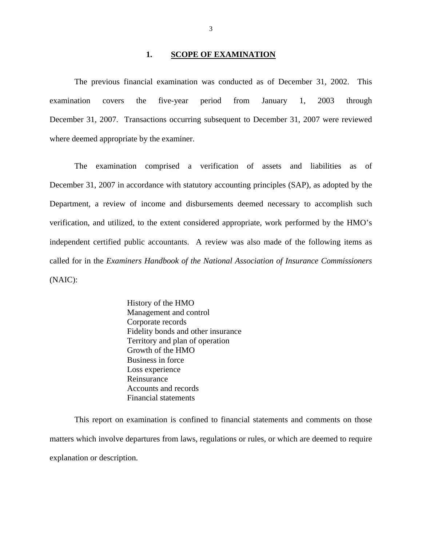#### 1. **SCOPE OF EXAMINATION**

The previous financial examination was conducted as of December 31, 2002. This examination covers the five-year period from January 1, 2003 through December 31, 2007. Transactions occurring subsequent to December 31, 2007 were reviewed where deemed appropriate by the examiner.

The examination comprised a verification of assets and liabilities as of December 31, 2007 in accordance with statutory accounting principles (SAP), as adopted by the Department, a review of income and disbursements deemed necessary to accomplish such verification, and utilized, to the extent considered appropriate, work performed by the HMO's independent certified public accountants. A review was also made of the following items as called for in the *Examiners Handbook of the National Association of Insurance Commissioners*  (NAIC):

> History of the HMO Management and control Corporate records Fidelity bonds and other insurance Territory and plan of operation Growth of the HMO Business in force Loss experience Reinsurance Accounts and records Financial statements

This report on examination is confined to financial statements and comments on those matters which involve departures from laws, regulations or rules, or which are deemed to require explanation or description.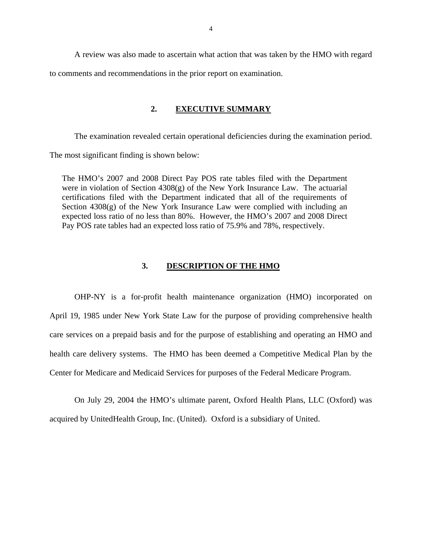<span id="page-5-0"></span>A review was also made to ascertain what action that was taken by the HMO with regard to comments and recommendations in the prior report on examination.

### **2. EXECUTIVE SUMMARY**

The examination revealed certain operational deficiencies during the examination period. The most significant finding is shown below:

The HMO's 2007 and 2008 Direct Pay POS rate tables filed with the Department were in violation of Section  $4308(g)$  of the New York Insurance Law. The actuarial certifications filed with the Department indicated that all of the requirements of Section  $4308(g)$  of the New York Insurance Law were complied with including an expected loss ratio of no less than 80%. However, the HMO's 2007 and 2008 Direct Pay POS rate tables had an expected loss ratio of 75.9% and 78%, respectively.

## **3. DESCRIPTION OF THE HMO**

OHP-NY is a for-profit health maintenance organization (HMO) incorporated on April 19, 1985 under New York State Law for the purpose of providing comprehensive health care services on a prepaid basis and for the purpose of establishing and operating an HMO and health care delivery systems. The HMO has been deemed a Competitive Medical Plan by the Center for Medicare and Medicaid Services for purposes of the Federal Medicare Program.

On July 29, 2004 the HMO's ultimate parent, Oxford Health Plans, LLC (Oxford) was acquired by UnitedHealth Group, Inc. (United). Oxford is a subsidiary of United.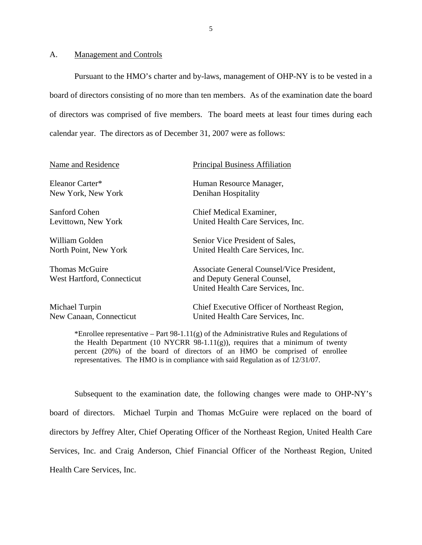#### <span id="page-6-0"></span>A. Management and Controls

Pursuant to the HMO's charter and by-laws, management of OHP-NY is to be vested in a board of directors consisting of no more than ten members. As of the examination date the board of directors was comprised of five members. The board meets at least four times during each calendar year. The directors as of December 31, 2007 were as follows:

| <b>Principal Business Affiliation</b>                                             |
|-----------------------------------------------------------------------------------|
| Human Resource Manager,                                                           |
| Denihan Hospitality                                                               |
| Chief Medical Examiner,                                                           |
| United Health Care Services, Inc.                                                 |
| Senior Vice President of Sales,                                                   |
| United Health Care Services, Inc.                                                 |
| Associate General Counsel/Vice President,<br>and Deputy General Counsel,          |
| United Health Care Services, Inc.                                                 |
| Chief Executive Officer of Northeast Region,<br>United Health Care Services, Inc. |
|                                                                                   |

\*Enrollee representative – Part 98-1.11 $(g)$  of the Administrative Rules and Regulations of the Health Department (10 NYCRR 98-1.11 $(g)$ ), requires that a minimum of twenty percent (20%) of the board of directors of an HMO be comprised of enrollee representatives. The HMO is in compliance with said Regulation as of 12/31/07.

Subsequent to the examination date, the following changes were made to OHP-NY's board of directors. Michael Turpin and Thomas McGuire were replaced on the board of directors by Jeffrey Alter, Chief Operating Officer of the Northeast Region, United Health Care Services, Inc. and Craig Anderson, Chief Financial Officer of the Northeast Region, United Health Care Services, Inc.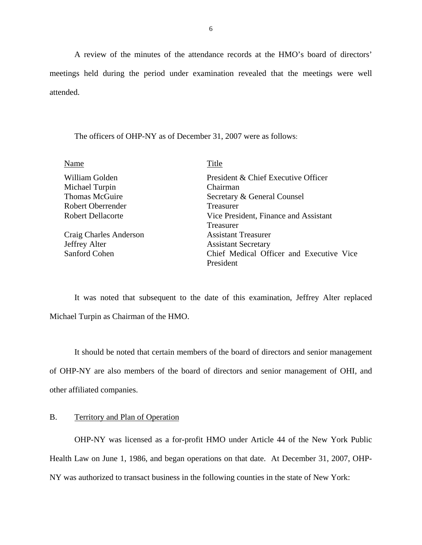<span id="page-7-0"></span>A review of the minutes of the attendance records at the HMO's board of directors' meetings held during the period under examination revealed that the meetings were well attended.

The officers of OHP-NY as of December 31, 2007 were as follows:

| Name                     | Title                                    |
|--------------------------|------------------------------------------|
| William Golden           | President & Chief Executive Officer      |
| Michael Turpin           | Chairman                                 |
| <b>Thomas McGuire</b>    | Secretary & General Counsel              |
| <b>Robert Oberrender</b> | Treasurer                                |
| <b>Robert Dellacorte</b> | Vice President, Finance and Assistant    |
|                          | <b>Treasurer</b>                         |
| Craig Charles Anderson   | <b>Assistant Treasurer</b>               |
| <b>Jeffrey Alter</b>     | <b>Assistant Secretary</b>               |
| Sanford Cohen            | Chief Medical Officer and Executive Vice |
|                          | President                                |

It was noted that subsequent to the date of this examination, Jeffrey Alter replaced Michael Turpin as Chairman of the HMO.

It should be noted that certain members of the board of directors and senior management of OHP-NY are also members of the board of directors and senior management of OHI, and other affiliated companies.

## B. Territory and Plan of Operation

OHP-NY was licensed as a for-profit HMO under Article 44 of the New York Public Health Law on June 1, 1986, and began operations on that date. At December 31, 2007, OHP-NY was authorized to transact business in the following counties in the state of New York: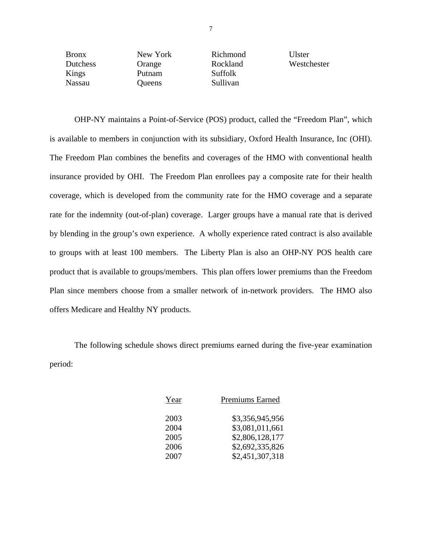| <b>Bronx</b> | New York | Richmond       | Ulster      |
|--------------|----------|----------------|-------------|
| Dutchess     | Orange   | Rockland       | Westchester |
| Kings        | Putnam   | <b>Suffolk</b> |             |
| Nassau       | Queens   | Sullivan       |             |

OHP-NY maintains a Point-of-Service (POS) product, called the "Freedom Plan", which is available to members in conjunction with its subsidiary, Oxford Health Insurance, Inc (OHI). The Freedom Plan combines the benefits and coverages of the HMO with conventional health insurance provided by OHI. The Freedom Plan enrollees pay a composite rate for their health coverage, which is developed from the community rate for the HMO coverage and a separate rate for the indemnity (out-of-plan) coverage. Larger groups have a manual rate that is derived by blending in the group's own experience. A wholly experience rated contract is also available to groups with at least 100 members. The Liberty Plan is also an OHP-NY POS health care product that is available to groups/members. This plan offers lower premiums than the Freedom Plan since members choose from a smaller network of in-network providers. The HMO also offers Medicare and Healthy NY products.

The following schedule shows direct premiums earned during the five-year examination period:

| Year | Premiums Earned |
|------|-----------------|
| 2003 | \$3,356,945,956 |
| 2004 | \$3,081,011,661 |
| 2005 | \$2,806,128,177 |
| 2006 | \$2,692,335,826 |
| 2007 | \$2,451,307,318 |
|      |                 |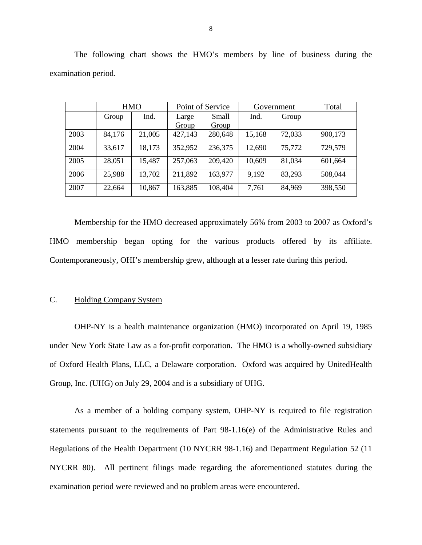|      |        | <b>HMO</b>  | Point of Service |         | Government |        | Total   |
|------|--------|-------------|------------------|---------|------------|--------|---------|
|      | Group  | <u>Ind.</u> | Large            | Small   | Ind.       | Group  |         |
|      |        |             | Group            | Group   |            |        |         |
| 2003 | 84,176 | 21,005      | 427,143          | 280,648 | 15,168     | 72,033 | 900,173 |
| 2004 | 33,617 | 18,173      | 352,952          | 236,375 | 12,690     | 75,772 | 729,579 |
| 2005 | 28,051 | 15,487      | 257,063          | 209,420 | 10,609     | 81,034 | 601,664 |
| 2006 | 25,988 | 13,702      | 211,892          | 163,977 | 9,192      | 83,293 | 508,044 |
| 2007 | 22,664 | 10,867      | 163,885          | 108,404 | 7,761      | 84,969 | 398,550 |

The following chart shows the HMO's members by line of business during the examination period.

Membership for the HMO decreased approximately 56% from 2003 to 2007 as Oxford's HMO membership began opting for the various products offered by its affiliate. Contemporaneously, OHI's membership grew, although at a lesser rate during this period.

## C. Holding Company System

OHP-NY is a health maintenance organization (HMO) incorporated on April 19, 1985 under New York State Law as a for-profit corporation. The HMO is a wholly-owned subsidiary of Oxford Health Plans, LLC, a Delaware corporation. Oxford was acquired by UnitedHealth Group, Inc. (UHG) on July 29, 2004 and is a subsidiary of UHG.

As a member of a holding company system, OHP-NY is required to file registration statements pursuant to the requirements of Part 98-1.16(e) of the Administrative Rules and Regulations of the Health Department (10 NYCRR 98-1.16) and Department Regulation 52 (11 NYCRR 80). All pertinent filings made regarding the aforementioned statutes during the examination period were reviewed and no problem areas were encountered.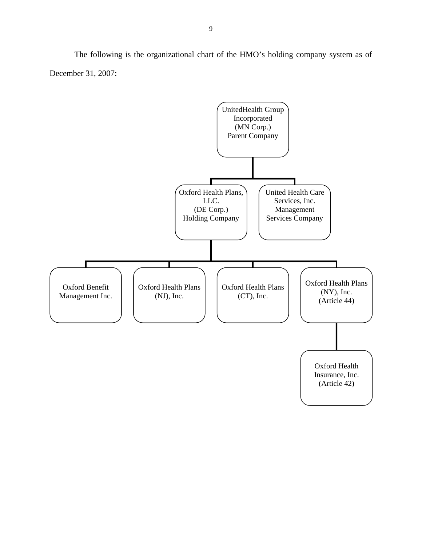The following is the organizational chart of the HMO's holding company system as of December 31, 2007:

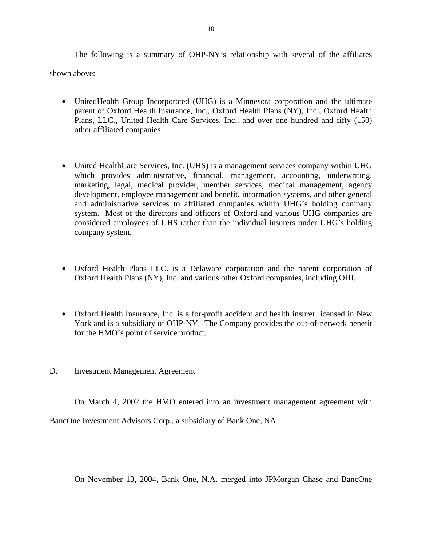<span id="page-11-0"></span>The following is a summary of OHP-NY's relationship with several of the affiliates shown above:

• UnitedHealth Group Incorporated (UHG) is a Minnesota corporation and the ultimate parent of Oxford Health Insurance, Inc., Oxford Health Plans (NY), Inc., Oxford Health Plans, LLC., United Health Care Services, Inc., and over one hundred and fifty (150) other affiliated companies.

- United HealthCare Services, Inc. (UHS) is a management services company within UHG which provides administrative, financial, management, accounting, underwriting, marketing, legal, medical provider, member services, medical management, agency development, employee management and benefit, information systems, and other general and administrative services to affiliated companies within UHG's holding company system. Most of the directors and officers of Oxford and various UHG companies are considered employees of UHS rather than the individual insurers under UHG's holding company system.
- Oxford Health Plans LLC. is a Delaware corporation and the parent corporation of Oxford Health Plans (NY), Inc. and various other Oxford companies, including OHI.
- Oxford Health Insurance, Inc. is a for-profit accident and health insurer licensed in New York and is a subsidiary of OHP-NY. The Company provides the out-of-network benefit for the HMO's point of service product.

## D. Investment Management Agreement

On March 4, 2002 the HMO entered into an investment management agreement with

BancOne Investment Advisors Corp., a subsidiary of Bank One, NA.

On November 13, 2004, Bank One, N.A. merged into JPMorgan Chase and BancOne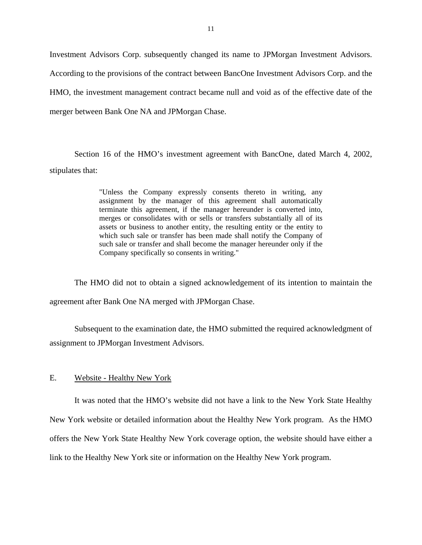<span id="page-12-0"></span>Investment Advisors Corp. subsequently changed its name to JPMorgan Investment Advisors. According to the provisions of the contract between BancOne Investment Advisors Corp. and the HMO, the investment management contract became null and void as of the effective date of the merger between Bank One NA and JPMorgan Chase.

Section 16 of the HMO's investment agreement with BancOne, dated March 4, 2002, stipulates that:

> "Unless the Company expressly consents thereto in writing, any assignment by the manager of this agreement shall automatically terminate this agreement, if the manager hereunder is converted into, merges or consolidates with or sells or transfers substantially all of its assets or business to another entity, the resulting entity or the entity to which such sale or transfer has been made shall notify the Company of such sale or transfer and shall become the manager hereunder only if the Company specifically so consents in writing."

The HMO did not to obtain a signed acknowledgement of its intention to maintain the agreement after Bank One NA merged with JPMorgan Chase.

Subsequent to the examination date, the HMO submitted the required acknowledgment of assignment to JPMorgan Investment Advisors.

### E. Website - Healthy New York

It was noted that the HMO's website did not have a link to the New York State Healthy New York website or detailed information about the Healthy New York program. As the HMO offers the New York State Healthy New York coverage option, the website should have either a link to the Healthy New York site or information on the Healthy New York program.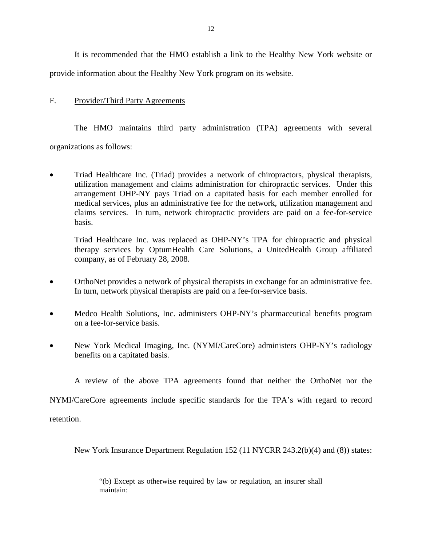<span id="page-13-0"></span>It is recommended that the HMO establish a link to the Healthy New York website or provide information about the Healthy New York program on its website.

## F. Provider/Third Party Agreements

The HMO maintains third party administration (TPA) agreements with several organizations as follows:

• Triad Healthcare Inc. (Triad) provides a network of chiropractors, physical therapists, utilization management and claims administration for chiropractic services. Under this arrangement OHP-NY pays Triad on a capitated basis for each member enrolled for medical services, plus an administrative fee for the network, utilization management and claims services. In turn, network chiropractic providers are paid on a fee-for-service basis.

Triad Healthcare Inc. was replaced as OHP-NY's TPA for chiropractic and physical therapy services by OptumHealth Care Solutions, a UnitedHealth Group affiliated company, as of February 28, 2008.

- OrthoNet provides a network of physical therapists in exchange for an administrative fee. In turn, network physical therapists are paid on a fee-for-service basis.
- Medco Health Solutions, Inc. administers OHP-NY's pharmaceutical benefits program on a fee-for-service basis.
- New York Medical Imaging, Inc. (NYMI/CareCore) administers OHP-NY's radiology benefits on a capitated basis.

A review of the above TPA agreements found that neither the OrthoNet nor the

NYMI/CareCore agreements include specific standards for the TPA's with regard to record

retention.

New York Insurance Department Regulation 152 (11 NYCRR 243.2(b)(4) and (8)) states:

"(b) Except as otherwise required by law or regulation, an insurer shall maintain: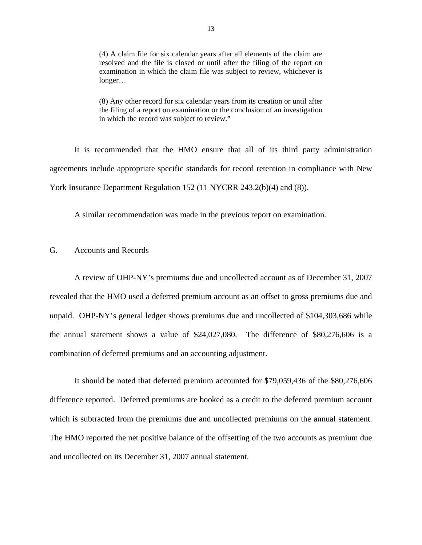<span id="page-14-0"></span>(4) A claim file for six calendar years after all elements of the claim are resolved and the file is closed or until after the filing of the report on examination in which the claim file was subject to review, whichever is longer…

(8) Any other record for six calendar years from its creation or until after the filing of a report on examination or the conclusion of an investigation in which the record was subject to review."

It is recommended that the HMO ensure that all of its third party administration agreements include appropriate specific standards for record retention in compliance with New York Insurance Department Regulation 152 (11 NYCRR 243.2(b)(4) and (8)).

A similar recommendation was made in the previous report on examination.

## G. Accounts and Records

A review of OHP-NY's premiums due and uncollected account as of December 31, 2007 revealed that the HMO used a deferred premium account as an offset to gross premiums due and unpaid. OHP-NY's general ledger shows premiums due and uncollected of \$104,303,686 while the annual statement shows a value of \$24,027,080. The difference of \$80,276,606 is a combination of deferred premiums and an accounting adjustment.

which is subtracted from the premiums due and uncollected premiums on the annual statement.<br>The HMO reported the net positive balance of the offsetting of the two accounts as premium due It should be noted that deferred premium accounted for \$79,059,436 of the \$80,276,606 difference reported. Deferred premiums are booked as a credit to the deferred premium account and uncollected on its December 31, 2007 annual statement.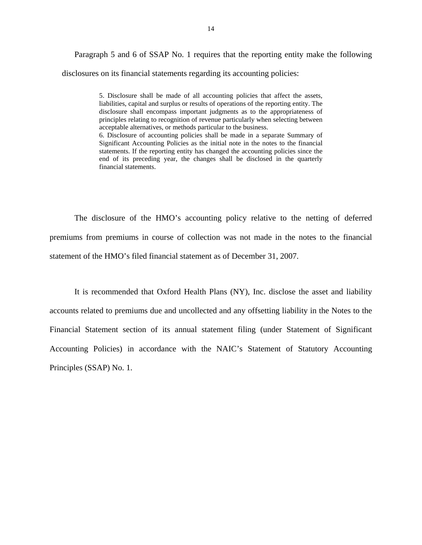Paragraph 5 and 6 of SSAP No. 1 requires that the reporting entity make the following disclosures on its financial statements regarding its accounting policies:

> 5. Disclosure shall be made of all accounting policies that affect the assets, liabilities, capital and surplus or results of operations of the reporting entity. The disclosure shall encompass important judgments as to the appropriateness of principles relating to recognition of revenue particularly when selecting between acceptable alternatives, or methods particular to the business. 6. Disclosure of accounting policies shall be made in a separate Summary of Significant Accounting Policies as the initial note in the notes to the financial statements. If the reporting entity has changed the accounting policies since the end of its preceding year, the changes shall be disclosed in the quarterly financial statements.

The disclosure of the HMO's accounting policy relative to the netting of deferred premiums from premiums in course of collection was not made in the notes to the financial statement of the HMO's filed financial statement as of December 31, 2007.

It is recommended that Oxford Health Plans (NY), Inc. disclose the asset and liability accounts related to premiums due and uncollected and any offsetting liability in the Notes to the Financial Statement section of its annual statement filing (under Statement of Significant Accounting Policies) in accordance with the NAIC's Statement of Statutory Accounting Principles (SSAP) No. 1.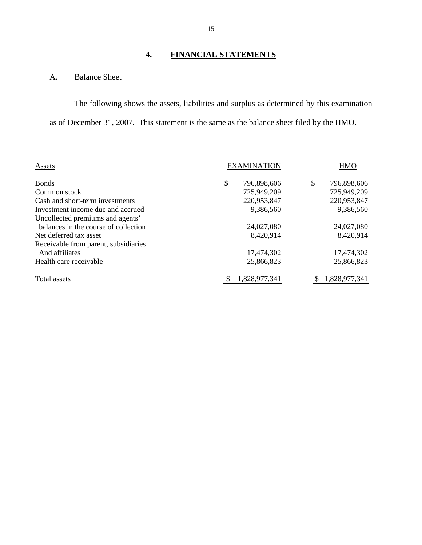## **4. FINANCIAL STATEMENTS**

## A. Balance Sheet

The following shows the assets, liabilities and surplus as determined by this examination as of December 31, 2007. This statement is the same as the balance sheet filed by the HMO.

| Assets                               | <b>EXAMINATION</b> |               | <b>HMO</b>        |  |
|--------------------------------------|--------------------|---------------|-------------------|--|
| <b>Bonds</b>                         | \$                 | 796,898,606   | \$<br>796,898,606 |  |
| Common stock                         |                    | 725,949,209   | 725,949,209       |  |
| Cash and short-term investments      |                    | 220,953,847   | 220,953,847       |  |
| Investment income due and accrued    |                    | 9,386,560     | 9,386,560         |  |
| Uncollected premiums and agents'     |                    |               |                   |  |
| balances in the course of collection |                    | 24,027,080    | 24,027,080        |  |
| Net deferred tax asset               |                    | 8,420,914     | 8,420,914         |  |
| Receivable from parent, subsidiaries |                    |               |                   |  |
| And affiliates                       |                    | 17,474,302    | 17,474,302        |  |
| Health care receivable               |                    | 25,866,823    | 25,866,823        |  |
| Total assets                         |                    | 1,828,977,341 | 1,828,977,341     |  |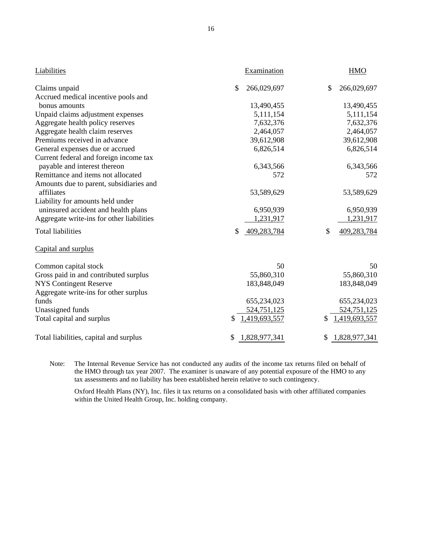| Liabilities                               | Examination         | <b>HMO</b>        |
|-------------------------------------------|---------------------|-------------------|
| Claims unpaid                             | \$<br>266,029,697   | \$<br>266,029,697 |
| Accrued medical incentive pools and       |                     |                   |
| bonus amounts                             | 13,490,455          | 13,490,455        |
| Unpaid claims adjustment expenses         | 5,111,154           | 5,111,154         |
| Aggregate health policy reserves          | 7,632,376           | 7,632,376         |
| Aggregate health claim reserves           | 2,464,057           | 2,464,057         |
| Premiums received in advance              | 39,612,908          | 39,612,908        |
| General expenses due or accrued           | 6,826,514           | 6,826,514         |
| Current federal and foreign income tax    |                     |                   |
| payable and interest thereon              | 6,343,566           | 6,343,566         |
| Remittance and items not allocated        | 572                 | 572               |
| Amounts due to parent, subsidiaries and   |                     |                   |
| affiliates                                | 53,589,629          | 53,589,629        |
| Liability for amounts held under          |                     |                   |
| uninsured accident and health plans       | 6,950,939           | 6,950,939         |
| Aggregate write-ins for other liabilities | 1,231,917           | 1,231,917         |
| <b>Total liabilities</b>                  | \$<br>409,283,784   | \$<br>409,283,784 |
| Capital and surplus                       |                     |                   |
| Common capital stock                      | 50                  | 50                |
| Gross paid in and contributed surplus     | 55,860,310          | 55,860,310        |
| <b>NYS Contingent Reserve</b>             | 183,848,049         | 183,848,049       |
| Aggregate write-ins for other surplus     |                     |                   |
| funds                                     | 655,234,023         | 655,234,023       |
| Unassigned funds                          | 524,751,125         | 524,751,125       |
| Total capital and surplus                 | 1,419,693,557       | 1,419,693,557     |
| Total liabilities, capital and surplus    | 1,828,977,341<br>\$ | 1,828,977,341     |

Note: The Internal Revenue Service has not conducted any audits of the income tax returns filed on behalf of the HMO through tax year 2007. The examiner is unaware of any potential exposure of the HMO to any tax assessments and no liability has been established herein relative to such contingency.

Oxford Health Plans (NY), Inc. files it tax returns on a consolidated basis with other affiliated companies within the United Health Group, Inc. holding company.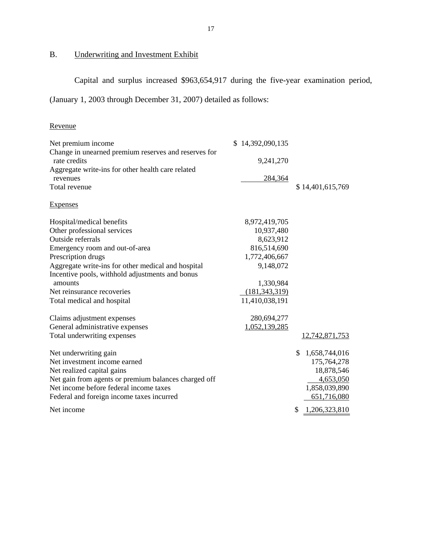## B. Underwriting and Investment Exhibit

Capital and surplus increased \$963,654,917 during the five-year examination period,

(January 1, 2003 through December 31, 2007) detailed as follows:

## Revenue

| Net premium income                                                   | \$14,392,090,135 |                     |
|----------------------------------------------------------------------|------------------|---------------------|
| Change in unearned premium reserves and reserves for<br>rate credits |                  |                     |
|                                                                      | 9,241,270        |                     |
| Aggregate write-ins for other health care related                    |                  |                     |
| revenues<br>Total revenue                                            | 284,364          |                     |
|                                                                      |                  | \$14,401,615,769    |
| <b>Expenses</b>                                                      |                  |                     |
| Hospital/medical benefits                                            | 8,972,419,705    |                     |
| Other professional services                                          | 10,937,480       |                     |
| Outside referrals                                                    | 8,623,912        |                     |
| Emergency room and out-of-area                                       | 816,514,690      |                     |
| Prescription drugs                                                   | 1,772,406,667    |                     |
| Aggregate write-ins for other medical and hospital                   | 9,148,072        |                     |
| Incentive pools, withhold adjustments and bonus                      |                  |                     |
| amounts                                                              | 1,330,984        |                     |
| Net reinsurance recoveries                                           | (181, 343, 319)  |                     |
| Total medical and hospital                                           | 11,410,038,191   |                     |
| Claims adjustment expenses                                           | 280,694,277      |                     |
| General administrative expenses                                      | 1,052,139,285    |                     |
| Total underwriting expenses                                          |                  | 12,742,871,753      |
| Net underwriting gain                                                |                  | \$<br>1,658,744,016 |
| Net investment income earned                                         |                  | 175,764,278         |
| Net realized capital gains                                           |                  | 18,878,546          |
| Net gain from agents or premium balances charged off                 |                  | 4,653,050           |
| Net income before federal income taxes                               |                  | 1,858,039,890       |
| Federal and foreign income taxes incurred                            |                  | 651,716,080         |
|                                                                      |                  |                     |
| Net income                                                           |                  | \$<br>1,206,323,810 |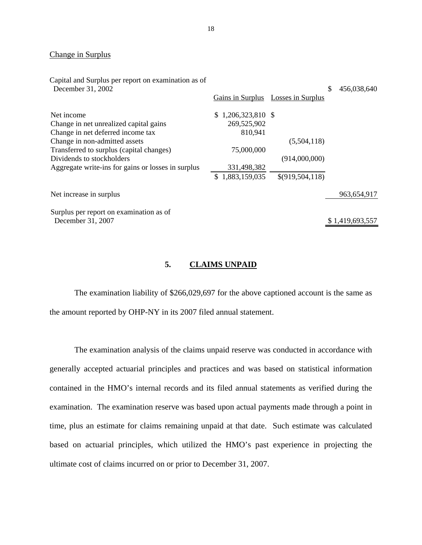#### <span id="page-19-0"></span>Change in Surplus

| Capital and Surplus per report on examination as of<br>December 31, 2002 | Gains in Surplus     | Losses in Surplus | \$<br>456,038,640 |
|--------------------------------------------------------------------------|----------------------|-------------------|-------------------|
|                                                                          |                      |                   |                   |
| Net income                                                               | $$1,206,323,810$ \\$ |                   |                   |
| Change in net unrealized capital gains                                   | 269,525,902          |                   |                   |
| Change in net deferred income tax                                        | 810,941              |                   |                   |
| Change in non-admitted assets                                            |                      | (5,504,118)       |                   |
| Transferred to surplus (capital changes)                                 | 75,000,000           |                   |                   |
| Dividends to stockholders                                                |                      | (914,000,000)     |                   |
| Aggregate write-ins for gains or losses in surplus                       | 331,498,382          |                   |                   |
|                                                                          | \$1,883,159,035      | \$(919, 504, 118) |                   |
| Net increase in surplus                                                  |                      |                   | 963,654,917       |
| Surplus per report on examination as of                                  |                      |                   |                   |
| December 31, 2007                                                        |                      |                   | \$1,419,693,557   |
|                                                                          |                      |                   |                   |

### **5. CLAIMS UNPAID**

The examination liability of \$266,029,697 for the above captioned account is the same as the amount reported by OHP-NY in its 2007 filed annual statement.

The examination analysis of the claims unpaid reserve was conducted in accordance with generally accepted actuarial principles and practices and was based on statistical information contained in the HMO's internal records and its filed annual statements as verified during the examination. The examination reserve was based upon actual payments made through a point in time, plus an estimate for claims remaining unpaid at that date. Such estimate was calculated based on actuarial principles, which utilized the HMO's past experience in projecting the ultimate cost of claims incurred on or prior to December 31, 2007.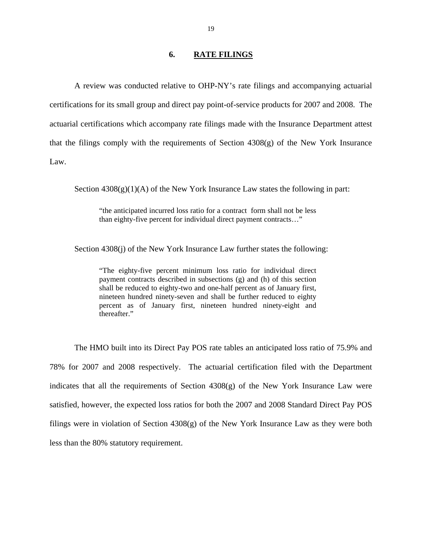#### **6. RATE FILINGS**

<span id="page-20-0"></span>A review was conducted relative to OHP-NY's rate filings and accompanying actuarial certifications for its small group and direct pay point-of-service products for 2007 and 2008. The actuarial certifications which accompany rate filings made with the Insurance Department attest that the filings comply with the requirements of Section 4308(g) of the New York Insurance Law.

Section  $4308(g)(1)(A)$  of the New York Insurance Law states the following in part:

"the anticipated incurred loss ratio for a contract form shall not be less than eighty-five percent for individual direct payment contracts…"

Section 4308(j) of the New York Insurance Law further states the following:

"The eighty-five percent minimum loss ratio for individual direct payment contracts described in subsections (g) and (h) of this section shall be reduced to eighty-two and one-half percent as of January first, nineteen hundred ninety-seven and shall be further reduced to eighty percent as of January first, nineteen hundred ninety-eight and thereafter."

The HMO built into its Direct Pay POS rate tables an anticipated loss ratio of 75.9% and 78% for 2007 and 2008 respectively. The actuarial certification filed with the Department indicates that all the requirements of Section 4308(g) of the New York Insurance Law were satisfied, however, the expected loss ratios for both the 2007 and 2008 Standard Direct Pay POS filings were in violation of Section 4308(g) of the New York Insurance Law as they were both less than the 80% statutory requirement.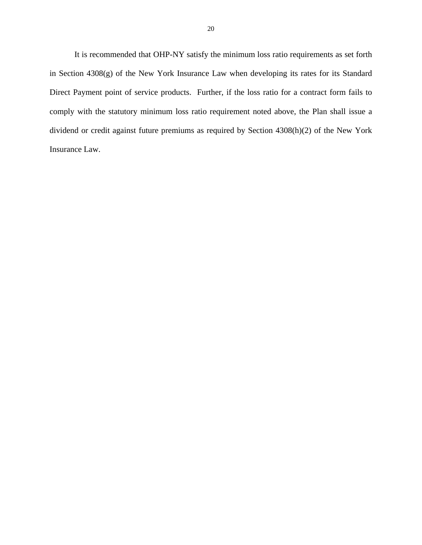It is recommended that OHP-NY satisfy the minimum loss ratio requirements as set forth in Section 4308(g) of the New York Insurance Law when developing its rates for its Standard Direct Payment point of service products. Further, if the loss ratio for a contract form fails to comply with the statutory minimum loss ratio requirement noted above, the Plan shall issue a dividend or credit against future premiums as required by Section 4308(h)(2) of the New York Insurance Law.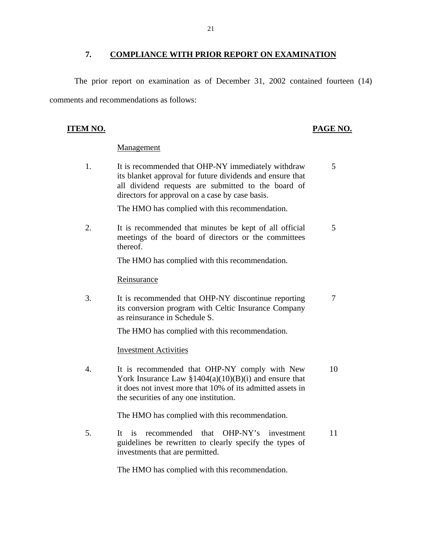## **7. COMPLIANCE WITH PRIOR REPORT ON EXAMINATION**

<span id="page-22-0"></span>The prior report on examination as of December 31, 2002 contained fourteen (14) comments and recommendations as follows:

## **ITEM NO. PAGE NO.**

## Management

1. It is recommended that OHP-NY immediately withdraw 5 its blanket approval for future dividends and ensure that all dividend requests are submitted to the board of directors for approval on a case by case basis.

The HMO has complied with this recommendation.

2. It is recommended that minutes be kept of all official 5 meetings of the board of directors or the committees thereof.

The HMO has complied with this recommendation.

## Reinsurance

3. It is recommended that OHP-NY discontinue reporting 7 its conversion program with Celtic Insurance Company as reinsurance in Schedule S.

The HMO has complied with this recommendation.

**Investment Activities** 

4. It is recommended that OHP-NY comply with New 10 York Insurance Law  $$1404(a)(10)(B)(i)$  and ensure that it does not invest more that 10% of its admitted assets in the securities of any one institution.

The HMO has complied with this recommendation.

5. It is recommended that OHP-NY's investment 11 guidelines be rewritten to clearly specify the types of investments that are permitted.

The HMO has complied with this recommendation.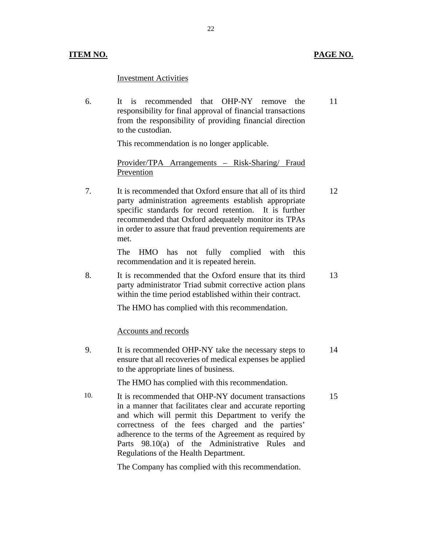## **ITEM NO. PAGE NO.**

## **Investment Activities**

6. It is recommended that OHP-NY remove the responsibility for final approval of financial transactions from the responsibility of providing financial direction to the custodian. 11

This recommendation is no longer applicable.

Provider/TPA Arrangements – Risk-Sharing/ Fraud Prevention

7. It is recommended that Oxford ensure that all of its third party administration agreements establish appropriate specific standards for record retention. It is further recommended that Oxford adequately monitor its TPAs in order to assure that fraud prevention requirements are met. 12

> The HMO has not fully complied recommendation and it is repeated herein. with this

8. It is recommended that the Oxford ensure that its third party administrator Triad submit corrective action plans within the time period established within their contract. 13

The HMO has complied with this recommendation.

Accounts and records

9. It is recommended OHP-NY take the necessary steps to ensure that all recoveries of medical expenses be applied to the appropriate lines of business. 14

The HMO has complied with this recommendation.

10. It is recommended that OHP-NY document transactions in a manner that facilitates clear and accurate reporting and which will permit this Department to verify the correctness of the fees charged and the parties' adherence to the terms of the Agreement as required by Parts 98.10(a) of the Administrative Rules and Regulations of the Health Department. 15

The Company has complied with this recommendation.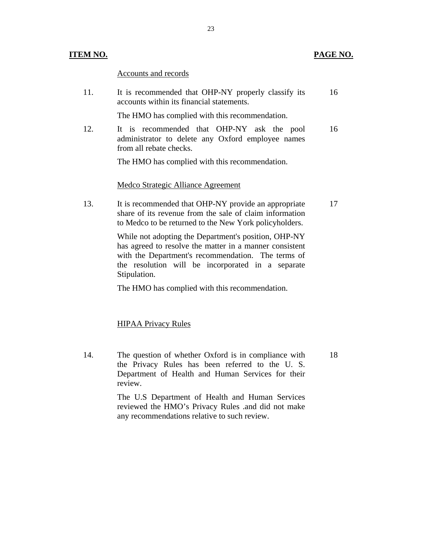### **ITEM NO. PAGE NO. PAGE NO.**

Accounts and records

11. It is recommended that OHP-NY properly classify its 16 accounts within its financial statements.

The HMO has complied with this recommendation.

12. It is recommended that OHP-NY ask the pool 16 administrator to delete any Oxford employee names from all rebate checks.

The HMO has complied with this recommendation.

### **Medco Strategic Alliance Agreement**

13. It is recommended that OHP-NY provide an appropriate 17 share of its revenue from the sale of claim information to Medco to be returned to the New York policyholders.

> While not adopting the Department's position, OHP-NY has agreed to resolve the matter in a manner consistent with the Department's recommendation. The terms of the resolution will be incorporated in a separate Stipulation.

The HMO has complied with this recommendation.

#### **HIPAA Privacy Rules**

14. The question of whether Oxford is in compliance with 18 the Privacy Rules has been referred to the U. S. Department of Health and Human Services for their review.

> The U.S Department of Health and Human Services reviewed the HMO's Privacy Rules .and did not make any recommendations relative to such review.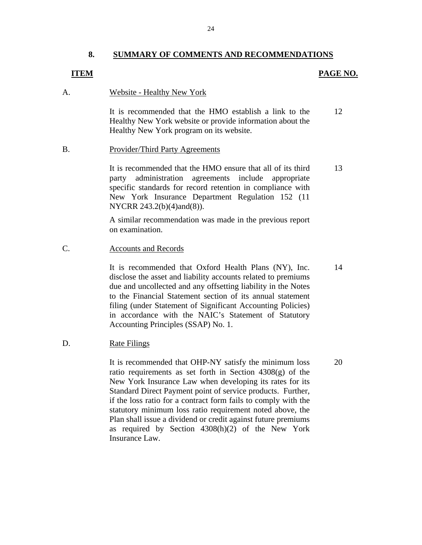## **8. SUMMARY OF COMMENTS AND RECOMMENDATIONS**

## <span id="page-25-0"></span>**ITEM**

## **PAGE NO.**

### Website - Healthy New York

A. Website - Healthy New York<br>It is recommended that the HMO establish a link to the 12 Healthy New York website or provide information about the Healthy New York program on its website.

## Provider/Third Party Agreements

B. Provider/Third Party Agreements<br>It is recommended that the HMO ensure that all of its third 13 party administration agreements include appropriate specific standards for record retention in compliance with New York Insurance Department Regulation 152 (11 NYCRR 243.2(b)(4)and(8)).

> A similar recommendation was made in the previous report on examination.

## **Accounts and Records**

C. Accounts and Records<br>It is recommended that Oxford Health Plans (NY), Inc. 14 disclose the asset and liability accounts related to premiums due and uncollected and any offsetting liability in the Notes to the Financial Statement section of its annual statement filing (under Statement of Significant Accounting Policies) in accordance with the NAIC's Statement of Statutory Accounting Principles (SSAP) No. 1.

## D. Rate Filings

It is recommended that OHP-NY satisfy the minimum loss 20 ratio requirements as set forth in Section  $4308(g)$  of the New York Insurance Law when developing its rates for its Standard Direct Payment point of service products. Further, if the loss ratio for a contract form fails to comply with the statutory minimum loss ratio requirement noted above, the Plan shall issue a dividend or credit against future premiums as required by Section 4308(h)(2) of the New York Insurance Law.